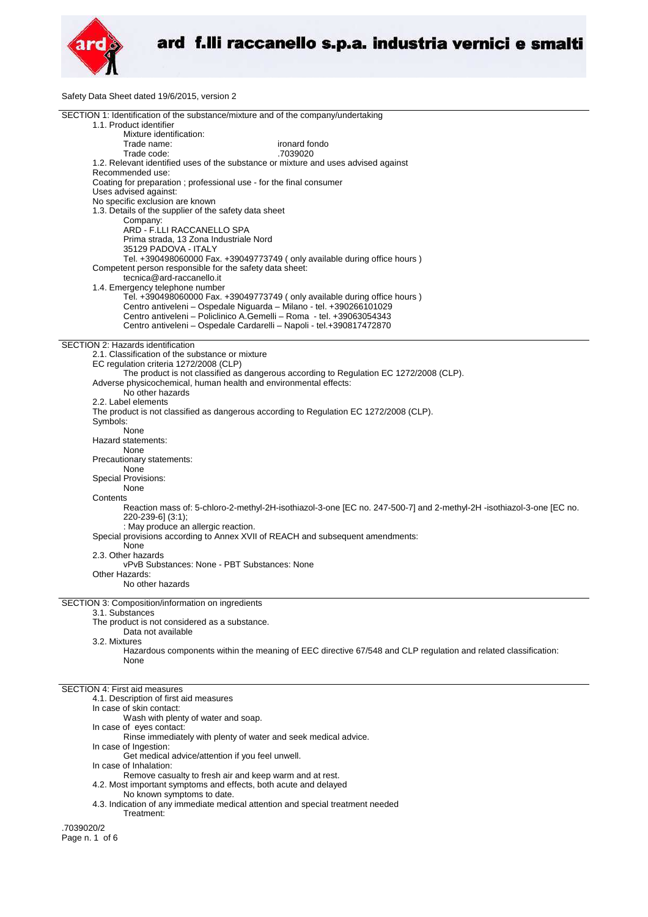

Safety Data Sheet dated 19/6/2015, version 2

| SECTION 1: Identification of the substance/mixture and of the company/undertaking<br>1.1. Product identifier                                        |
|-----------------------------------------------------------------------------------------------------------------------------------------------------|
| Mixture identification:                                                                                                                             |
| ironard fondo<br>Trade name:<br>.7039020<br>Trade code:                                                                                             |
| 1.2. Relevant identified uses of the substance or mixture and uses advised against                                                                  |
| Recommended use:                                                                                                                                    |
| Coating for preparation ; professional use - for the final consumer<br>Uses advised against:                                                        |
| No specific exclusion are known                                                                                                                     |
| 1.3. Details of the supplier of the safety data sheet                                                                                               |
| Company:<br>ARD - F.LLI RACCANELLO SPA                                                                                                              |
| Prima strada, 13 Zona Industriale Nord                                                                                                              |
| 35129 PADOVA - ITALY                                                                                                                                |
| Tel. +390498060000 Fax. +39049773749 (only available during office hours)<br>Competent person responsible for the safety data sheet:                |
| tecnica@ard-raccanello.it                                                                                                                           |
| 1.4. Emergency telephone number                                                                                                                     |
| Tel. +390498060000 Fax. +39049773749 (only available during office hours)<br>Centro antiveleni - Ospedale Niguarda - Milano - tel. +390266101029    |
| Centro antiveleni - Policlinico A.Gemelli - Roma - tel. +39063054343                                                                                |
| Centro antiveleni - Ospedale Cardarelli - Napoli - tel.+390817472870                                                                                |
| SECTION 2: Hazards identification                                                                                                                   |
| 2.1. Classification of the substance or mixture                                                                                                     |
| EC regulation criteria 1272/2008 (CLP)<br>The product is not classified as dangerous according to Regulation EC 1272/2008 (CLP).                    |
| Adverse physicochemical, human health and environmental effects:                                                                                    |
| No other hazards                                                                                                                                    |
| 2.2. Label elements<br>The product is not classified as dangerous according to Regulation EC 1272/2008 (CLP).                                       |
| Symbols:                                                                                                                                            |
| None                                                                                                                                                |
| Hazard statements:<br>None                                                                                                                          |
| Precautionary statements:                                                                                                                           |
| None                                                                                                                                                |
| Special Provisions:<br>None                                                                                                                         |
| Contents                                                                                                                                            |
| Reaction mass of: 5-chloro-2-methyl-2H-isothiazol-3-one [EC no. 247-500-7] and 2-methyl-2H -isothiazol-3-one [EC no.<br>$220 - 239 - 6$ ] $(3:1)$ ; |
| : May produce an allergic reaction.                                                                                                                 |
| Special provisions according to Annex XVII of REACH and subsequent amendments:                                                                      |
| None<br>2.3. Other hazards                                                                                                                          |
| vPvB Substances: None - PBT Substances: None                                                                                                        |
| Other Hazards:                                                                                                                                      |
| No other hazards                                                                                                                                    |
| SECTION 3: Composition/information on ingredients                                                                                                   |
| 3.1. Substances<br>The product is not considered as a substance.                                                                                    |
| Data not available                                                                                                                                  |
| 3.2. Mixtures                                                                                                                                       |
| Hazardous components within the meaning of EEC directive 67/548 and CLP regulation and related classification:<br>None                              |
|                                                                                                                                                     |
| SECTION 4: First aid measures                                                                                                                       |
| 4.1. Description of first aid measures                                                                                                              |
| In case of skin contact:                                                                                                                            |
| Wash with plenty of water and soap.<br>In case of eyes contact:                                                                                     |
| Rinse immediately with plenty of water and seek medical advice.                                                                                     |
| In case of Ingestion:                                                                                                                               |
| Get medical advice/attention if you feel unwell.<br>In case of Inhalation:                                                                          |
| Remove casualty to fresh air and keep warm and at rest.                                                                                             |
| 4.2. Most important symptoms and effects, both acute and delayed<br>No known symptoms to date.                                                      |
| 4.3. Indication of any immediate medical attention and special treatment needed                                                                     |
| Treatment:                                                                                                                                          |
| .7039020/2                                                                                                                                          |
| Page n. 1 of 6                                                                                                                                      |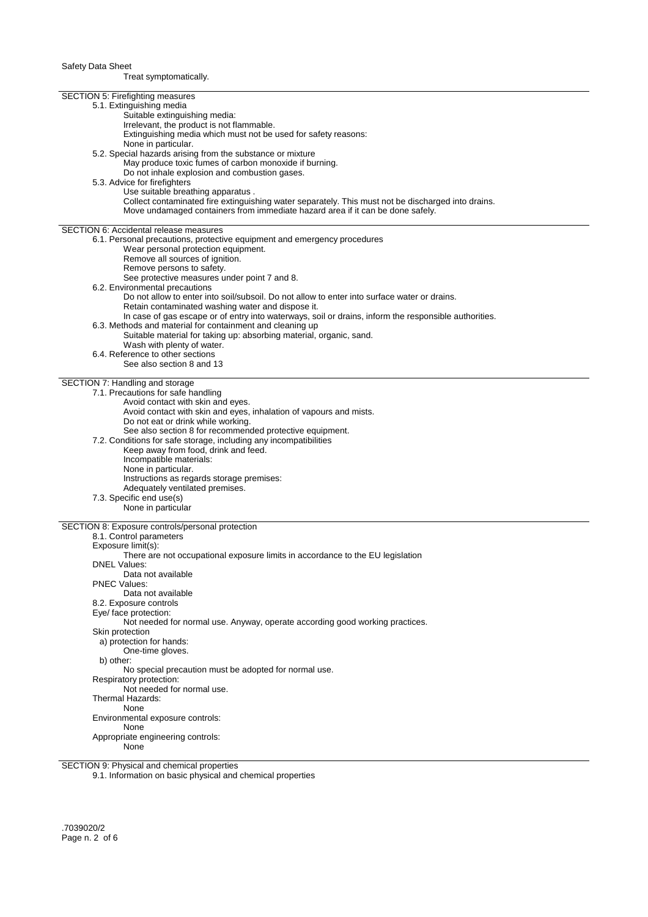Treat symptomatically.

| SECTION 5: Firefighting measures                                                                      |
|-------------------------------------------------------------------------------------------------------|
| 5.1. Extinguishing media                                                                              |
| Suitable extinguishing media:                                                                         |
| Irrelevant, the product is not flammable.                                                             |
| Extinguishing media which must not be used for safety reasons:                                        |
| None in particular.                                                                                   |
| 5.2. Special hazards arising from the substance or mixture                                            |
| May produce toxic fumes of carbon monoxide if burning.                                                |
| Do not inhale explosion and combustion gases.                                                         |
| 5.3. Advice for firefighters                                                                          |
| Use suitable breathing apparatus.                                                                     |
| Collect contaminated fire extinguishing water separately. This must not be discharged into drains.    |
| Move undamaged containers from immediate hazard area if it can be done safely.                        |
|                                                                                                       |
| <b>SECTION 6: Accidental release measures</b>                                                         |
| 6.1. Personal precautions, protective equipment and emergency procedures                              |
| Wear personal protection equipment.                                                                   |
| Remove all sources of ignition.                                                                       |
| Remove persons to safety.                                                                             |
| See protective measures under point 7 and 8.                                                          |
| 6.2. Environmental precautions                                                                        |
| Do not allow to enter into soil/subsoil. Do not allow to enter into surface water or drains.          |
| Retain contaminated washing water and dispose it.                                                     |
| In case of gas escape or of entry into waterways, soil or drains, inform the responsible authorities. |
| 6.3. Methods and material for containment and cleaning up                                             |
| Suitable material for taking up: absorbing material, organic, sand.                                   |
| Wash with plenty of water.                                                                            |
| 6.4. Reference to other sections                                                                      |
| See also section 8 and 13                                                                             |
| SECTION 7: Handling and storage                                                                       |
| 7.1. Precautions for safe handling                                                                    |
| Avoid contact with skin and eyes.                                                                     |
| Avoid contact with skin and eyes, inhalation of vapours and mists.                                    |
| Do not eat or drink while working.                                                                    |
| See also section 8 for recommended protective equipment.                                              |
| 7.2. Conditions for safe storage, including any incompatibilities                                     |
| Keep away from food, drink and feed.                                                                  |
| Incompatible materials:                                                                               |
| None in particular.                                                                                   |
| Instructions as regards storage premises:                                                             |
| Adequately ventilated premises.                                                                       |
| 7.3. Specific end use(s)                                                                              |
| None in particular                                                                                    |
|                                                                                                       |
| SECTION 8: Exposure controls/personal protection                                                      |
| 8.1. Control parameters                                                                               |
| Exposure limit(s):                                                                                    |
| There are not occupational exposure limits in accordance to the EU legislation                        |
| <b>DNEL Values:</b>                                                                                   |
| Data not available                                                                                    |
| <b>PNEC Values:</b>                                                                                   |
| Data not available                                                                                    |
| 8.2. Exposure controls                                                                                |
| Eye/ face protection:<br>Not needed for normal use. Anyway, operate according good working practices. |
| Skin protection                                                                                       |
| a) protection for hands:                                                                              |
| One-time gloves.                                                                                      |
| b) other:                                                                                             |
| No special precaution must be adopted for normal use.                                                 |
| Respiratory protection:                                                                               |
| Not needed for normal use.                                                                            |
| Thermal Hazards:                                                                                      |
| None                                                                                                  |
| Environmental exposure controls:                                                                      |
| None                                                                                                  |
| Appropriate engineering controls:                                                                     |
| None                                                                                                  |
|                                                                                                       |

SECTION 9: Physical and chemical properties

9.1. Information on basic physical and chemical properties

.7039020/2 Page n. 2 of 6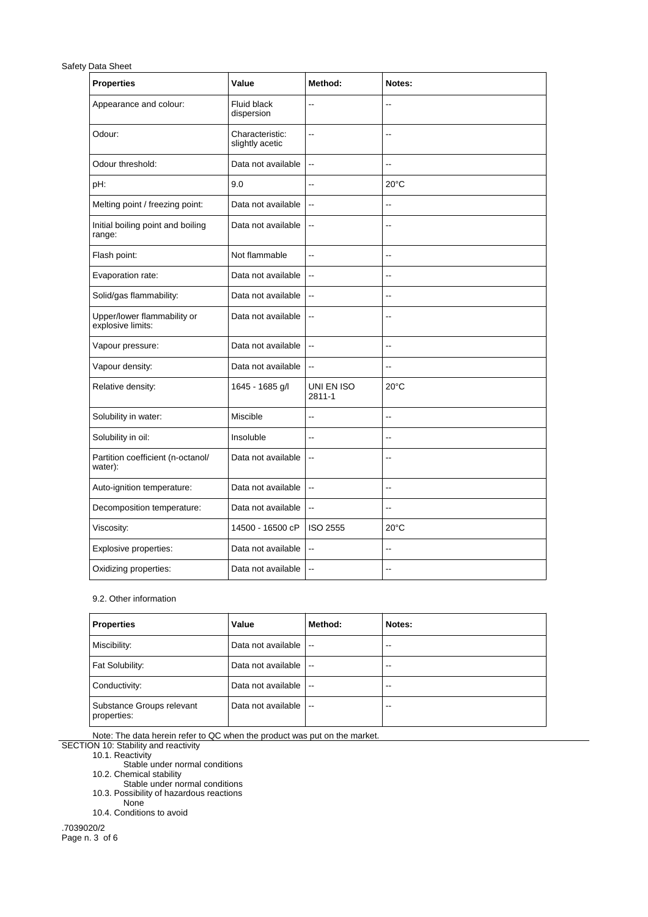| <b>Properties</b>                                | Value                              | Method:                  | Notes:                   |
|--------------------------------------------------|------------------------------------|--------------------------|--------------------------|
| Appearance and colour:                           | <b>Fluid black</b><br>dispersion   | Ξ.                       | $\overline{\phantom{a}}$ |
| Odour:                                           | Characteristic:<br>slightly acetic | $\overline{\phantom{a}}$ | $-$                      |
| Odour threshold:                                 | Data not available                 | $\overline{\phantom{a}}$ | $\overline{a}$           |
| pH:                                              | 9.0                                | --                       | $20^{\circ}$ C           |
| Melting point / freezing point:                  | Data not available                 | $\overline{\phantom{a}}$ | Ξ.                       |
| Initial boiling point and boiling<br>range:      | Data not available                 | $\overline{\phantom{a}}$ | $\overline{a}$           |
| Flash point:                                     | Not flammable                      | $-$                      | $\sim$                   |
| Evaporation rate:                                | Data not available                 | $\overline{\phantom{a}}$ | $\sim$                   |
| Solid/gas flammability:                          | Data not available                 | $\overline{\phantom{a}}$ | $-$                      |
| Upper/lower flammability or<br>explosive limits: | Data not available                 | $\overline{\phantom{a}}$ | $-$                      |
| Vapour pressure:                                 | Data not available                 | $\sim$                   | $\overline{a}$           |
| Vapour density:                                  | Data not available                 | $\overline{\phantom{a}}$ | $\overline{a}$           |
| Relative density:                                | 1645 - 1685 g/l                    | UNI EN ISO<br>2811-1     | $20^{\circ}$ C           |
| Solubility in water:                             | Miscible                           | Ξ.                       | $-$                      |
| Solubility in oil:                               | Insoluble                          | $-$                      | $-$                      |
| Partition coefficient (n-octanol/<br>water):     | Data not available                 | $\overline{\phantom{a}}$ | $-$                      |
| Auto-ignition temperature:                       | Data not available                 | $\overline{\phantom{a}}$ | $\overline{\phantom{a}}$ |
| Decomposition temperature:                       | Data not available                 | $\overline{\phantom{a}}$ | ۵.                       |
| Viscosity:                                       | 14500 - 16500 cP                   | <b>ISO 2555</b>          | $20^{\circ}$ C           |
| Explosive properties:                            | Data not available                 | $\ddot{\phantom{a}}$     | $-$                      |
| Oxidizing properties:                            | Data not available                 | $\overline{\phantom{a}}$ | $-$                      |

## 9.2. Other information

| Properties                               | Value              | Method:                  | Notes: |
|------------------------------------------|--------------------|--------------------------|--------|
| Miscibility:                             | Data not available | $\overline{\phantom{a}}$ | $-1$   |
| Fat Solubility:                          | Data not available | $\overline{\phantom{a}}$ | $-1$   |
| Conductivity:                            | Data not available | $\overline{\phantom{a}}$ | --     |
| Substance Groups relevant<br>properties: | Data not available | $\overline{\phantom{a}}$ | --     |

Note: The data herein refer to QC when the product was put on the market.

SECTION 10: Stability and reactivity

10.1. Reactivity

Stable under normal conditions

10.2. Chemical stability

Stable under normal conditions 10.3. Possibility of hazardous reactions

None

10.4. Conditions to avoid

.7039020/2 Page n. 3 of 6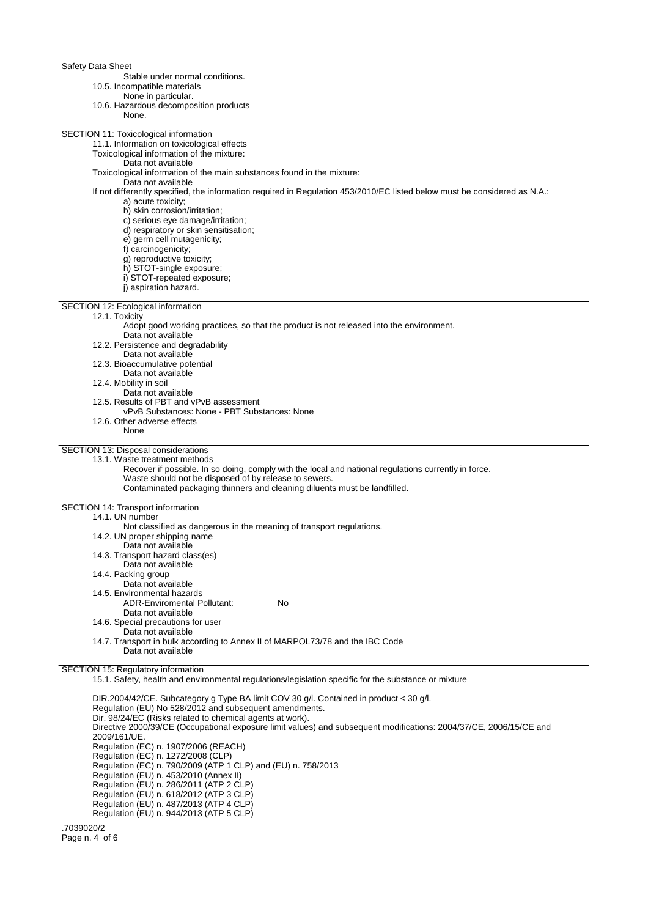Stable under normal conditions.

- 10.5. Incompatible materials
	- None in particular.
- 10.6. Hazardous decomposition products

| ro.o. Hazardous decomposition products<br>None.                                                                           |
|---------------------------------------------------------------------------------------------------------------------------|
| SECTION 11: Toxicological information                                                                                     |
| 11.1. Information on toxicological effects                                                                                |
| Toxicological information of the mixture:                                                                                 |
| Data not available                                                                                                        |
| Toxicological information of the main substances found in the mixture:                                                    |
| Data not available                                                                                                        |
| If not differently specified, the information required in Regulation 453/2010/EC listed below must be considered as N.A.: |
| a) acute toxicity;                                                                                                        |
| b) skin corrosion/irritation;                                                                                             |
| c) serious eye damage/irritation;                                                                                         |
| d) respiratory or skin sensitisation;                                                                                     |
| e) germ cell mutagenicity;                                                                                                |
| f) carcinogenicity;                                                                                                       |
| g) reproductive toxicity;                                                                                                 |
| h) STOT-single exposure;                                                                                                  |
| i) STOT-repeated exposure;                                                                                                |
| j) aspiration hazard.                                                                                                     |
|                                                                                                                           |
| SECTION 12: Ecological information                                                                                        |
| 12.1. Toxicity                                                                                                            |
| Adopt good working practices, so that the product is not released into the environment.                                   |
| Data not available                                                                                                        |
| 12.2. Persistence and degradability                                                                                       |
| Data not available                                                                                                        |
| 12.3. Bioaccumulative potential                                                                                           |
| Data not available                                                                                                        |
| 12.4. Mobility in soil                                                                                                    |
| Data not available                                                                                                        |
| 12.5. Results of PBT and vPvB assessment                                                                                  |
| vPvB Substances: None - PBT Substances: None                                                                              |
| 12.6. Other adverse effects<br>None                                                                                       |
|                                                                                                                           |
| SECTION 13: Disposal considerations                                                                                       |
| 13.1. Waste treatment methods                                                                                             |
| Recover if possible. In so doing, comply with the local and national regulations currently in force.                      |
| Waste should not be disposed of by release to sewers.                                                                     |
| Contaminated packaging thinners and cleaning diluents must be landfilled.                                                 |
| SECTION 14: Transport information                                                                                         |
| 14.1. UN number                                                                                                           |
| Not classified as dangerous in the meaning of transport regulations.                                                      |
| 14.2. UN proper shipping name                                                                                             |
| Data not available                                                                                                        |
| 14.3. Transport hazard class(es)                                                                                          |
| Data not available                                                                                                        |
| 14.4. Packing group                                                                                                       |
| Data not available                                                                                                        |
| 14.5. Environmental hazards                                                                                               |
| <b>ADR-Enviromental Pollutant:</b><br>No                                                                                  |
| Data not available                                                                                                        |
| 14.6. Special precautions for user                                                                                        |
| Data not available                                                                                                        |
| 14.7. Transport in bulk according to Annex II of MARPOL73/78 and the IBC Code                                             |
| Data not available                                                                                                        |
|                                                                                                                           |
| <b>SECTION 15: Regulatory information</b>                                                                                 |
| 15.1. Safety, health and environmental regulations/legislation specific for the substance or mixture                      |
|                                                                                                                           |
| DIR.2004/42/CE. Subcategory g Type BA limit COV 30 g/l. Contained in product < 30 g/l.                                    |

Regulation (EU) No 528/2012 and subsequent amendments.

Dir. 98/24/EC (Risks related to chemical agents at work).

Directive 2000/39/CE (Occupational exposure limit values) and subsequent modifications: 2004/37/CE, 2006/15/CE and 2009/161/UE. Regulation (EC) n. 1907/2006 (REACH) Regulation (EC) n. 1272/2008 (CLP) Regulation (EC) n. 790/2009 (ATP 1 CLP) and (EU) n. 758/2013 Regulation (EU) n. 453/2010 (Annex II) Regulation (EU) n. 286/2011 (ATP 2 CLP) Regulation (EU) n. 618/2012 (ATP 3 CLP) Regulation (EU) n. 487/2013 (ATP 4 CLP)

Regulation (EU) n. 944/2013 (ATP 5 CLP)

.7039020/2 Page n. 4 of 6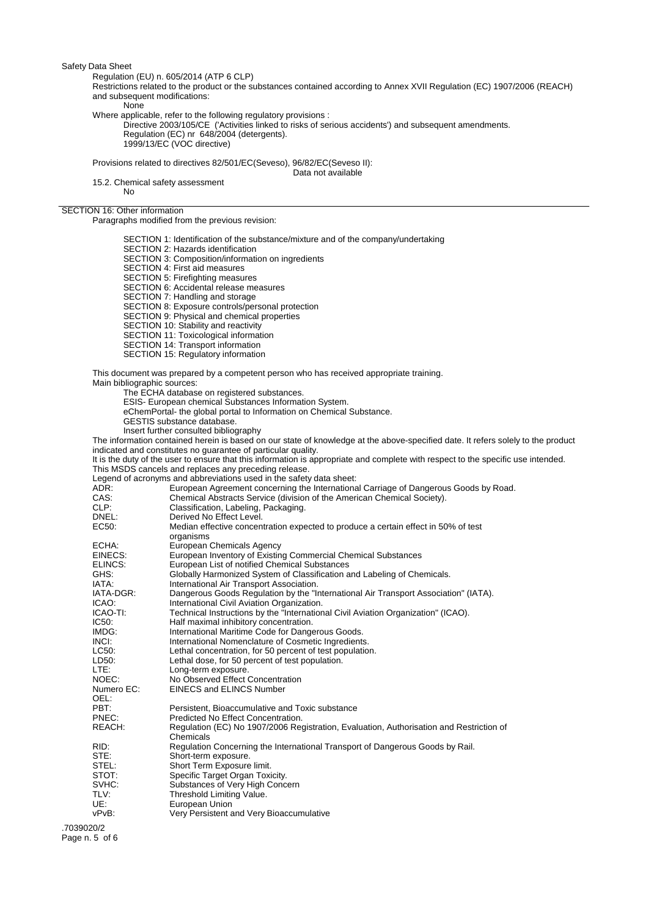Regulation (EU) n. 605/2014 (ATP 6 CLP)

Restrictions related to the product or the substances contained according to Annex XVII Regulation (EC) 1907/2006 (REACH) and subsequent modifications:

None

Where applicable, refer to the following regulatory provisions :

Directive 2003/105/CE ('Activities linked to risks of serious accidents') and subsequent amendments. Regulation (EC) nr 648/2004 (detergents). 1999/13/EC (VOC directive)

Provisions related to directives 82/501/EC(Seveso), 96/82/EC(Seveso II):

Data not available

15.2. Chemical safety assessment No

## SECTION 16: Other information

Paragraphs modified from the previous revision:

SECTION 1: Identification of the substance/mixture and of the company/undertaking SECTION 2: Hazards identification SECTION 3: Composition/information on ingredients SECTION 4: First aid measures SECTION 5: Firefighting measures SECTION 6: Accidental release measures SECTION 7: Handling and storage SECTION 8: Exposure controls/personal protection SECTION 9: Physical and chemical properties SECTION 10: Stability and reactivity SECTION 11: Toxicological information SECTION 14: Transport information SECTION 15: Regulatory information This document was prepared by a competent person who has received appropriate training. Main bibliographic sources:

The ECHA database on registered substances.

ESIS- European chemical Substances Information System.

eChemPortal- the global portal to Information on Chemical Substance.

- GESTIS substance database.
- Insert further consulted bibliography

The information contained herein is based on our state of knowledge at the above-specified date. It refers solely to the product indicated and constitutes no guarantee of particular quality.

It is the duty of the user to ensure that this information is appropriate and complete with respect to the specific use intended. This MSDS cancels and replaces any preceding release.

Legend of acronyms and abbreviations used in the safety data sheet:

| ADR:       | European Agreement concerning the International Carriage of Dangerous Goods by Road.    |
|------------|-----------------------------------------------------------------------------------------|
| CAS:       | Chemical Abstracts Service (division of the American Chemical Society).                 |
| CLP:       | Classification, Labeling, Packaging.                                                    |
| DNEL:      | Derived No Effect Level.                                                                |
| EC50:      | Median effective concentration expected to produce a certain effect in 50% of test      |
|            | organisms                                                                               |
| ECHA:      | European Chemicals Agency                                                               |
| EINECS:    | European Inventory of Existing Commercial Chemical Substances                           |
| ELINCS:    | European List of notified Chemical Substances                                           |
| GHS:       | Globally Harmonized System of Classification and Labeling of Chemicals.                 |
| IATA:      | International Air Transport Association.                                                |
| IATA-DGR:  | Dangerous Goods Regulation by the "International Air Transport Association" (IATA).     |
| ICAO:      | International Civil Aviation Organization.                                              |
| ICAO-TI:   | Technical Instructions by the "International Civil Aviation Organization" (ICAO).       |
| IC50:      | Half maximal inhibitory concentration.                                                  |
| IMDG:      | International Maritime Code for Dangerous Goods.                                        |
| INCI:      | International Nomenclature of Cosmetic Ingredients.                                     |
| LC50:      | Lethal concentration, for 50 percent of test population.                                |
| LD50:      | Lethal dose, for 50 percent of test population.                                         |
| LTE:       | Long-term exposure.                                                                     |
| NOEC:      | No Observed Effect Concentration                                                        |
| Numero EC: | <b>EINECS and ELINCS Number</b>                                                         |
| OEL:       |                                                                                         |
| PBT:       | Persistent, Bioaccumulative and Toxic substance                                         |
| PNEC:      | Predicted No Effect Concentration.                                                      |
| REACH:     | Regulation (EC) No 1907/2006 Registration, Evaluation, Authorisation and Restriction of |
|            | Chemicals                                                                               |
| RID:       | Regulation Concerning the International Transport of Dangerous Goods by Rail.           |
| STE:       | Short-term exposure.                                                                    |
| STEL:      | Short Term Exposure limit.                                                              |
| STOT:      | Specific Target Organ Toxicity.                                                         |
| SVHC:      | Substances of Very High Concern                                                         |
| TLV:       | Threshold Limiting Value.                                                               |
| UE:        | European Union                                                                          |
| vPvB:      | Very Persistent and Very Bioaccumulative                                                |
|            |                                                                                         |